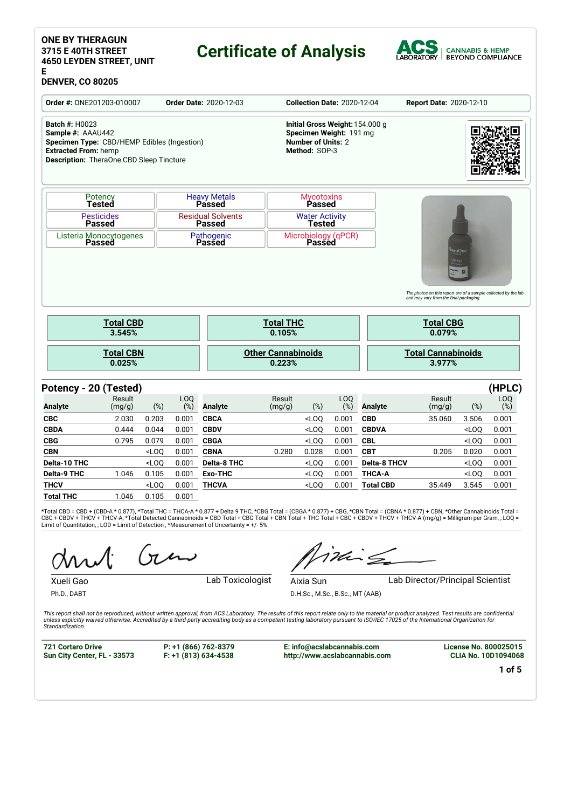## **ONE BY THERAGUN 3715 E 40TH STREET 4650 LEYDEN STREET, UNIT E**

# **Certificate of Analysis**



# **DENVER, CO 80205**

| <b>Order #: ONE201203-010007</b>                                                                                                                                            |                                         |         |               | <b>Order Date: 2020-12-03</b>             |                                     |                                            |                         | <b>Collection Date: 2020-12-04</b> | <b>Report Date: 2020-12-10</b>                                                                                                         |                                   |                         |
|-----------------------------------------------------------------------------------------------------------------------------------------------------------------------------|-----------------------------------------|---------|---------------|-------------------------------------------|-------------------------------------|--------------------------------------------|-------------------------|------------------------------------|----------------------------------------------------------------------------------------------------------------------------------------|-----------------------------------|-------------------------|
| <b>Batch #: H0023</b><br>Sample #: AAAU442<br>Specimen Type: CBD/HEMP Edibles (Ingestion)<br><b>Extracted From: hemp</b><br><b>Description:</b> TheraOne CBD Sleep Tincture |                                         |         |               |                                           |                                     | <b>Number of Units: 2</b><br>Method: SOP-3 | Specimen Weight: 191 mg | Initial Gross Weight: 154.000 g    |                                                                                                                                        |                                   |                         |
|                                                                                                                                                                             | Potency<br>Tested                       |         |               | <b>Heavy Metals</b><br><b>Passed</b>      |                                     | <b>Mycotoxins</b><br>Passed                |                         |                                    |                                                                                                                                        |                                   |                         |
|                                                                                                                                                                             | <b>Pesticides</b><br><b>Passed</b>      |         |               | <b>Residual Solvents</b><br><b>Passed</b> |                                     | <b>Water Activity</b><br>Tested            |                         |                                    |                                                                                                                                        |                                   |                         |
|                                                                                                                                                                             | Listeria Monocytogenes<br><b>Passed</b> |         |               | Pathogenic<br>Passed                      |                                     | Passed                                     | Microbiology (qPCR)     |                                    |                                                                                                                                        |                                   |                         |
|                                                                                                                                                                             |                                         |         |               |                                           |                                     |                                            |                         |                                    |                                                                                                                                        | $s$ leep<br><b>WH2 522</b>        |                         |
|                                                                                                                                                                             | <b>Total CBD</b><br>3.545%              |         |               |                                           | <b>Total THC</b><br>0.105%          |                                            |                         |                                    | The photos on this report are of a sample collected by the lab<br>and may vary from the final packaging.<br><b>Total CBG</b><br>0.079% |                                   |                         |
|                                                                                                                                                                             | <b>Total CBN</b><br>0.025%              |         |               |                                           | <b>Other Cannabinoids</b><br>0.223% |                                            |                         |                                    | <b>Total Cannabinoids</b><br>3.977%                                                                                                    |                                   |                         |
|                                                                                                                                                                             |                                         |         |               |                                           |                                     |                                            |                         |                                    |                                                                                                                                        |                                   |                         |
| Potency - 20 (Tested)<br><b>Analyte</b>                                                                                                                                     | Result<br>(mg/g)                        | (%)     | LOQ<br>$(\%)$ | <b>Analyte</b>                            | Result<br>(mg/g)                    | $(\%)$                                     | LOQ<br>$(\%)$           | <b>Analyte</b>                     | Result<br>(mg/g)                                                                                                                       | (%)                               | (HPLC)<br>LOQ<br>$(\%)$ |
| <b>CBC</b>                                                                                                                                                                  | 2.030                                   | 0.203   | 0.001         | <b>CBCA</b>                               |                                     | $<$ LOQ                                    | 0.001                   | <b>CBD</b>                         | 35.060                                                                                                                                 | 3.506                             | 0.001                   |
| <b>CBDA</b>                                                                                                                                                                 | 0.444                                   | 0.044   | 0.001         | <b>CBDV</b>                               |                                     | $<$ LOO                                    | 0.001                   | <b>CBDVA</b>                       |                                                                                                                                        | $<$ LOO                           | 0.001                   |
| <b>CBG</b>                                                                                                                                                                  | 0.795                                   | 0.079   | 0.001         | <b>CBGA</b>                               |                                     | $<$ LOQ                                    | 0.001                   | <b>CBL</b>                         |                                                                                                                                        | <loq< td=""><td>0.001</td></loq<> | 0.001                   |
| <b>CBN</b>                                                                                                                                                                  |                                         | $<$ LOO | 0.001         | <b>CBNA</b>                               | 0.280                               | 0.028                                      | 0.001                   | <b>CBT</b>                         | 0.205                                                                                                                                  | 0.020                             | 0.001                   |
| Delta-10 THC                                                                                                                                                                |                                         | $<$ LOQ | 0.001         | Delta-8 THC                               |                                     | $<$ LOQ                                    | 0.001                   | <b>Delta-8 THCV</b>                |                                                                                                                                        | <loq< td=""><td>0.001</td></loq<> | 0.001                   |

\*Total CBD = CBD + (CBD-A \* 0.877), \*Total THC = THCA-A \* 0.877 + Delta 9 THC, \*CBG Total = (CBGA \* 0.877) + CBG, \*CBN Total = (CBNA \* 0.877) + CBN, \*Other Cannabinoids Total =<br>CBC + CBDV + THCV + THCV-A, \*Total Detectiod

**THCV** <LOQ 0.001 **THCVA** <LOQ 0.001 **Total CBD** 35.449 3.545 0.001

**Total THC** 1.046 0.105 0.001

Ph.D., DABT

Xueli Gao **Lab Toxicologist** 

Aixia Sun **Lab Director/Principal Scientist** 

D.H.Sc., M.Sc., B.Sc., MT (AAB)

This report shall not be reproduced, without written approval, from ACS Laboratory. The results of this report relate only to the material or product analyzed. Test results are confidential unless explicitly waived otherwise. Accredited by a third-party accrediting body as a competent testing laboratory pursuant to ISO/IEC 17025 of the International Organization for *Standardization.*

**721 Cortaro Drive Sun City Center, FL - 33573**

**P: +1 (866) 762-8379 F: +1 (813) 634-4538**

**E: info@acslabcannabis.com http://www.acslabcannabis.com** **License No. 800025015 CLIA No. 10D1094068**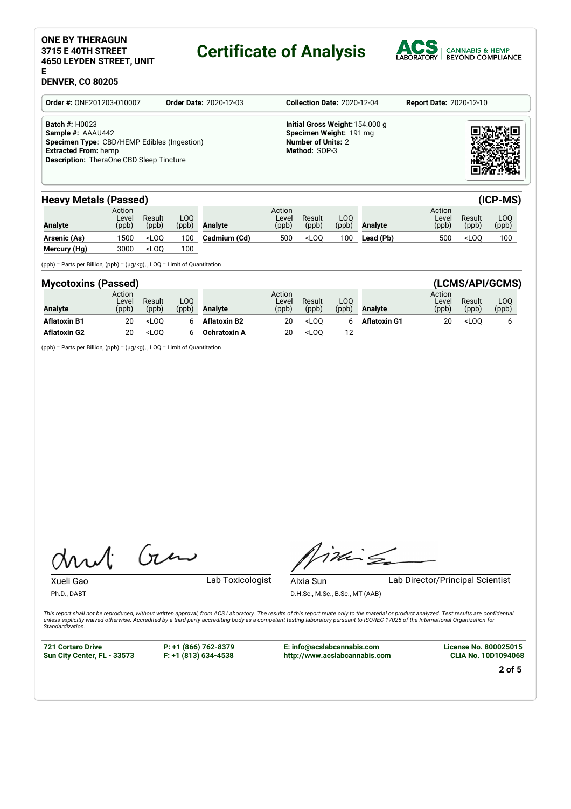# **ONE BY THERAGUN 3715 E 40TH STREET 4650 LEYDEN STREET, UNIT**

# **Certificate of Analysis**



### **E DENVER, CO 80205**

| Order #: ONE201203-010007                                                                                                                                                   | <b>Order Date: 2020-12-03</b> | <b>Collection Date: 2020-12-04</b>                                                                       | <b>Report Date: 2020-12-10</b> |
|-----------------------------------------------------------------------------------------------------------------------------------------------------------------------------|-------------------------------|----------------------------------------------------------------------------------------------------------|--------------------------------|
| <b>Batch #: H0023</b><br>Sample #: AAAU442<br>Specimen Type: CBD/HEMP Edibles (Ingestion)<br><b>Extracted From: hemp</b><br><b>Description:</b> TheraOne CBD Sleep Tincture |                               | Initial Gross Weight: 154,000 g<br>Specimen Weight: 191 mg<br><b>Number of Units: 2</b><br>Method: SOP-3 |                                |

# **Heavy Metals (Passed) (ICP-MS)**

| <b>HEAVY IVICIAIS (FASSEU)</b> |                          |                 |              |                |                          |                 |               |                |                          |                 | uur wo       |
|--------------------------------|--------------------------|-----------------|--------------|----------------|--------------------------|-----------------|---------------|----------------|--------------------------|-----------------|--------------|
| Analyte                        | Action<br>Level<br>(ppb) | Result<br>(ppb) | LOO<br>(ppb) | <b>Analyte</b> | Action<br>Level<br>(ppb) | Result<br>(ppb) | LOO.<br>(ppb) | <b>Analyte</b> | Action<br>Level<br>(ppb) | Result<br>(ppb) | LOO<br>(ppb) |
| Arsenic (As)                   | 1500                     | $<$ LOO         | 100          | Cadmium (Cd)   | 500                      | $<$ LOO         | 100           | Lead (Pb)      | 500                      | $<$ LOO         | 100          |
| Mercury (Hg)                   | 3000                     | $<$ LOO         | 100          |                |                          |                 |               |                |                          |                 |              |

(ppb) = Parts per Billion, (ppb) = (µg/kg), , LOQ = Limit of Quantitation

| <b>Mycotoxins (Passed)</b> |                          |                 |              |                     |                          |                 |              |                |                          |                 | (LCMS/API/GCMS) |
|----------------------------|--------------------------|-----------------|--------------|---------------------|--------------------------|-----------------|--------------|----------------|--------------------------|-----------------|-----------------|
| Analyte                    | Action<br>Level<br>(ppb) | Result<br>(ppb) | LOO<br>(ppb) | <b>Analyte</b>      | Action<br>Level<br>(ppb) | Result<br>(ppb) | LOO<br>(ppb) | <b>Analyte</b> | Action<br>Level<br>(ppb) | Result<br>(ppb) | LOQ<br>(ppb)    |
| <b>Aflatoxin B1</b>        | 20                       | $<$ LOO         |              | <b>Aflatoxin B2</b> | 20                       | $<$ LOO         |              | Aflatoxin G1   | 20                       | $<$ LOO         |                 |
| <b>Aflatoxin G2</b>        | 20                       | $<$ LOO         |              | Ochratoxin A        | 20                       | $<$ LOO         | 12           |                |                          |                 |                 |

(ppb) = Parts per Billion, (ppb) = (µg/kg), , LOQ = Limit of Quantitation

Gen  $\Lambda$ 

inis

Ph.D., DABT

Xueli Gao **Lab Toxicologist** 

D.H.Sc., M.Sc., B.Sc., MT (AAB)

Aixia Sun Lab Director/Principal Scientist

This report shall not be reproduced, without written approval, from ACS Laboratory. The results of this report relate only to the material or product analyzed. Test results are confidential unless explicitly waived otherwise. Accredited by a third-party accrediting body as a competent testing laboratory pursuant to ISO/IEC 17025 of the International Organization for *Standardization.*

**721 Cortaro Drive Sun City Center, FL - 33573** **P: +1 (866) 762-8379 F: +1 (813) 634-4538**

**E: info@acslabcannabis.com http://www.acslabcannabis.com** **License No. 800025015 CLIA No. 10D1094068**

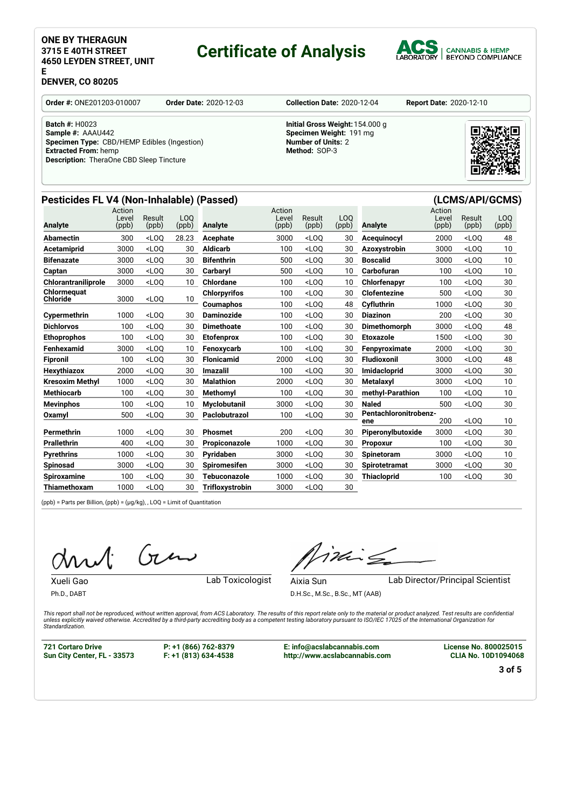# **ONE BY THERAGUN 3715 E 40TH STREET 4650 LEYDEN STREET, UNIT**

# **Certificate of Analysis**

**Pesticides FL V4 (Non-Inhalable) (Passed) (LCMS/API/GCMS)**



## **DENVER, CO 80205**

**E**

**Order #:** ONE201203-010007 **Order Date:** 2020-12-03 **Collection Date:** 2020-12-04 **Report Date:** 2020-12-10

**Batch #:** H0023 **Sample #:** AAAU442 **Specimen Type:** CBD/HEMP Edibles (Ingestion) **Extracted From:** hemp **Description:** TheraOne CBD Sleep Tincture

## **Initial Gross Weight:**154.000 g **Specimen Weight:** 191 mg **Number of Units:** 2 **Method:** SOP-3



#### **Analyte** Action **Level** (ppb) Result (ppb) LOQ<br>(ppb) Analyte Action Level (ppb) Result (ppb) LOQ<br>(ppb) Analyte Action Level (ppb) Result (ppb) LOQ (ppb) **Abamectin** 300 <LOQ 28.23 **Acephate** 3000 <LOQ 30 **Acequinocyl** 2000 <LOQ 48 **Acetamiprid** 3000 <LOQ 30 **Aldicarb** 100 <LOQ 30 **Azoxystrobin** 3000 <LOQ 10 **Bifenazate** 3000 <LOQ 30 **Bifenthrin** 500 <LOQ 30 **Boscalid** 3000 <LOQ 10 **Captan** 3000 <LOQ 30 **Carbaryl** 500 <LOQ 10 **Carbofuran** 100 <LOQ 10 **Chlorantraniliprole** 3000 <LOQ 10 **Chlordane** 100 <LOQ 10 **Chlorfenapyr** 100 <LOQ 30 **Chlormequat Chloride** 3000 <LOQ 10 **Chlorpyrifos** 100 <LOQ 30 **Clofentezine** 500 <LOQ 30 **Coumaphos** 100 <LOQ 48 **Cyfluthrin** 1000 <LOQ 30 **Cypermethrin** 1000 <LOQ 30 **Daminozide** 100 <LOQ 30 **Diazinon** 200 <LOQ 30 **Dichlorvos** 100 <LOQ 30 **Dimethoate** 100 <LOQ 30 **Dimethomorph** 3000 <LOQ 48 **Ethoprophos** 100 <LOQ 30 **Etofenprox** 100 <LOQ 30 **Etoxazole** 1500 <LOQ 30 **Fenhexamid** 3000 <LOQ 10 **Fenoxycarb** 100 <LOQ 30 **Fenpyroximate** 2000 <LOQ 30 **Fipronil** 100 <LOQ 30 **Flonicamid** 2000 <LOQ 30 **Fludioxonil** 3000 <LOQ 48 **Hexythiazox** 2000 <LOQ 30 **Imazalil** 100 <LOQ 30 **Imidacloprid** 3000 <LOQ 30 **Kresoxim Methyl** 1000 <LOQ 30 **Malathion** 2000 <LOQ 30 **Metalaxyl** 3000 <LOQ 10 **Methiocarb** 100 <LOQ 30 **Methomyl** 100 <LOQ 30 **methyl-Parathion** 100 <LOQ 10 **Mevinphos** 100 <LOQ 10 **Myclobutanil** 3000 <LOQ 30 **Naled** 500 <LOQ 30 **Oxamyl** 500 <LOQ 30 **Paclobutrazol** 100 <LOQ 30 **Pentachloronitrobenzene** 200 <LOQ 10 **Permethrin** 1000 <LOQ 30 **Phosmet** 200 <LOQ 30 **Piperonylbutoxide** 3000 <LOQ 30 **Prallethrin** 400 <LOQ 30 **Propiconazole** 1000 <LOQ 30 **Propoxur** 100 <LOQ 30 **Pyrethrins** 1000 <LOQ 30 **Pyridaben** 3000 <LOQ 30 **Spinetoram** 3000 <LOQ 10 **Spinosad** 3000 <LOQ 30 **Spiromesifen** 3000 <LOQ 30 **Spirotetramat** 3000 <LOQ 30 **Spiroxamine** 100 <LOQ 30 **Tebuconazole** 1000 <LOQ 30 **Thiacloprid** 100 <LOQ 30 **Thiamethoxam** 1000 <LOQ 30 **Trifloxystrobin** 3000 <LOQ 30

(ppb) = Parts per Billion, (ppb) = (µg/kg), , LOQ = Limit of Quantitation

Gen

Ph.D., DABT

Xueli Gao **Lab Toxicologist** 

inis

Aixia Sun Lab Director/Principal Scientist

D.H.Sc., M.Sc., B.Sc., MT (AAB)

This report shall not be reproduced without written approval from ACS Laboratory. The results of this report relate only to the material or product analyzed. Test results are confidential otherwise. Accredited by a third-party accrediting body as a competent testing laboratory pursuant to ISO/IEC 17025 of the International Organization for the content of the international Organization for *Standardization.*

**721 Cortaro Drive Sun City Center, FL - 33573** **P: +1 (866) 762-8379 F: +1 (813) 634-4538** **E: info@acslabcannabis.com http://www.acslabcannabis.com** **License No. 800025015 CLIA No. 10D1094068**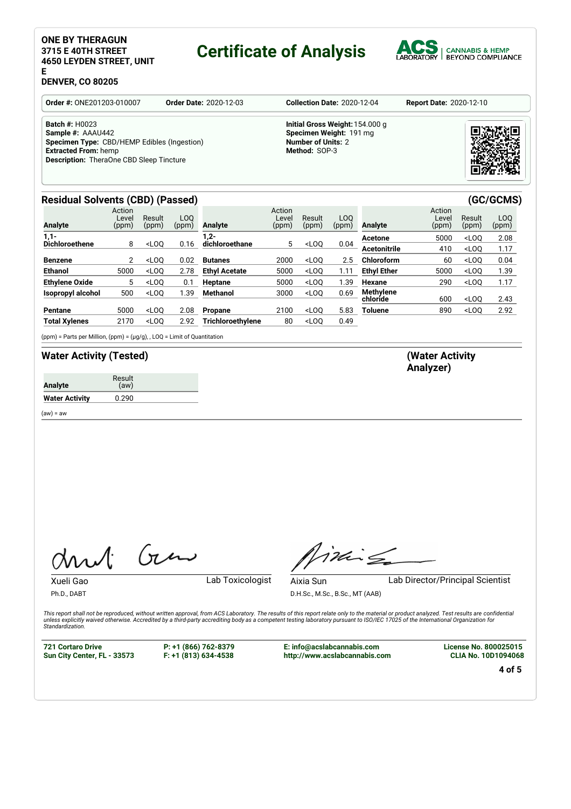## **ONE BY THERAGUN 3715 E 40TH STREET 4650 LEYDEN STREET, UNIT E**

# **Certificate of Analysis**



# **DENVER, CO 80205**

| <b>Order #: ONE201203-010007</b>                                                                                                                                            | <b>Order Date: 2020-12-03</b> | <b>Collection Date: 2020-12-04</b>                                                                       | <b>Report Date: 2020-12-10</b> |
|-----------------------------------------------------------------------------------------------------------------------------------------------------------------------------|-------------------------------|----------------------------------------------------------------------------------------------------------|--------------------------------|
| <b>Batch #: H0023</b><br>Sample #: AAAU442<br>Specimen Type: CBD/HEMP Edibles (Ingestion)<br><b>Extracted From: hemp</b><br><b>Description:</b> TheraOne CBD Sleep Tincture |                               | Initial Gross Weight: 154,000 g<br>Specimen Weight: 191 mg<br><b>Number of Units: 2</b><br>Method: SOP-3 |                                |

# **Residual Solvents (CBD) (Passed) (GC/GCMS)**

| <b>Analyte</b>           | Action<br>Level<br>(ppm) | Result<br>(ppm) | LOO<br>(ppm) | Analyte              | Action<br>Level<br>(ppm) | Result<br>(ppm) | LOO<br>(ppm) | <b>Analyte</b>      | Action<br>Level<br>(ppm) | Result<br>(ppm)                  | LOO<br>(ppm) |
|--------------------------|--------------------------|-----------------|--------------|----------------------|--------------------------|-----------------|--------------|---------------------|--------------------------|----------------------------------|--------------|
| $1,1-$                   |                          |                 |              | $1,2-$               |                          |                 |              | Acetone             | 5000                     | $<$ LOO                          | 2.08         |
| <b>Dichloroethene</b>    | 8                        | $<$ LOO         | 0.16         | dichloroethane       | 5                        | $<$ LOO         | 0.04         | <b>Acetonitrile</b> | 410                      | $<$ LOO                          | 1.17         |
| Benzene                  |                          | $<$ LOO         | 0.02         | <b>Butanes</b>       | 2000                     | $<$ LOO         | 2.5          | <b>Chloroform</b>   | 60                       | <loo< th=""><th>0.04</th></loo<> | 0.04         |
| <b>Ethanol</b>           | 5000                     | $<$ LOO         | 2.78         | <b>Ethyl Acetate</b> | 5000                     | $<$ LOO         | 1.11         | <b>Ethyl Ether</b>  | 5000                     | $<$ LOO                          | 1.39         |
| <b>Ethylene Oxide</b>    | 5                        | $<$ LOO         | 0.1          | Heptane              | 5000                     | $<$ LOO         | 1.39         | <b>Hexane</b>       | 290                      | $<$ LOO                          | 1.17         |
| <b>Isopropyl alcohol</b> | 500                      | $<$ LOO         | 1.39         | <b>Methanol</b>      | 3000                     | $<$ LOO         | 0.69         | <b>Methylene</b>    |                          |                                  |              |
|                          |                          |                 |              |                      |                          |                 |              | chloride            | 600                      | $<$ LOO                          | 2.43         |
| Pentane                  | 5000                     | $<$ LOO         | 2.08         | <b>Propane</b>       | 2100                     | $<$ LOO         | 5.83         | Toluene             | 890                      | $<$ LOO                          | 2.92         |
| <b>Total Xylenes</b>     | 2170                     | $<$ LOO         | 2.92         | Trichloroethylene    | 80                       | $<$ LOQ         | 0.49         |                     |                          |                                  |              |

(ppm) = Parts per Million, (ppm) = (µg/g), , LOQ = Limit of Quantitation

# **Water Activity (Tested) (Water Activity**

 $(aw) = aw$ 

 $G_{\nu}$  $\Lambda$ 

Xueli Gao **Lab Toxicologist** 

 $i$ ding

Aixia Sun Lab Director/Principal Scientist

D.H.Sc., M.Sc., B.Sc., MT (AAB)

This report shall not be reproduced, without written approval, from ACS Laboratory. The results of this report relate only to the material or product analyzed. Test results are confidential unless explicitly waived otherwise. Accredited by a third-party accrediting body as a competent testing laboratory pursuant to ISO/IEC 17025 of the International Organization for *Standardization.*

**721 Cortaro Drive Sun City Center, FL - 33573**

Ph.D., DABT

**P: +1 (866) 762-8379 F: +1 (813) 634-4538**

**E: info@acslabcannabis.com http://www.acslabcannabis.com** **License No. 800025015 CLIA No. 10D1094068**

**4 of 5**



# **Analyzer)**